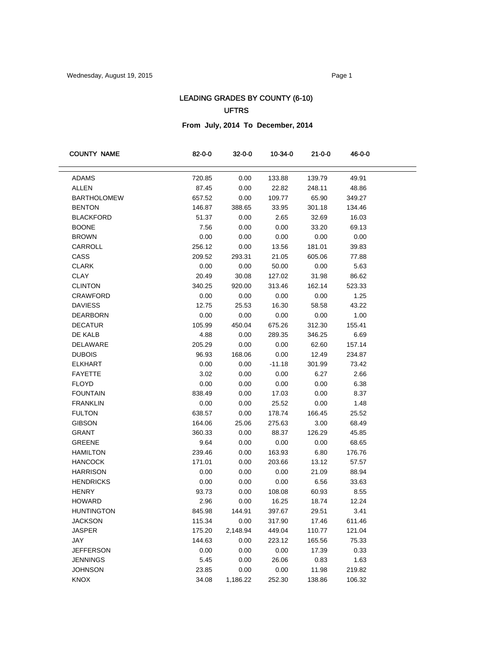## LEADING GRADES BY COUNTY (6-10) UFTRS

**From July, 2014 To December, 2014**

| <b>COUNTY NAME</b> | 82-0-0 | 32-0-0   | 10-34-0  | 21-0-0 | 46-0-0 |  |
|--------------------|--------|----------|----------|--------|--------|--|
| ADAMS              | 720.85 | 0.00     | 133.88   | 139.79 | 49.91  |  |
| <b>ALLEN</b>       | 87.45  | 0.00     | 22.82    | 248.11 | 48.86  |  |
| <b>BARTHOLOMEW</b> | 657.52 | 0.00     | 109.77   | 65.90  | 349.27 |  |
| <b>BENTON</b>      | 146.87 | 388.65   | 33.95    | 301.18 | 134.46 |  |
| <b>BLACKFORD</b>   | 51.37  | 0.00     | 2.65     | 32.69  | 16.03  |  |
| <b>BOONE</b>       | 7.56   | 0.00     | 0.00     | 33.20  | 69.13  |  |
| <b>BROWN</b>       | 0.00   | 0.00     | 0.00     | 0.00   | 0.00   |  |
| CARROLL            | 256.12 | 0.00     | 13.56    | 181.01 | 39.83  |  |
| CASS               | 209.52 | 293.31   | 21.05    | 605.06 | 77.88  |  |
| <b>CLARK</b>       | 0.00   | 0.00     | 50.00    | 0.00   | 5.63   |  |
| <b>CLAY</b>        | 20.49  | 30.08    | 127.02   | 31.98  | 86.62  |  |
| <b>CLINTON</b>     | 340.25 | 920.00   | 313.46   | 162.14 | 523.33 |  |
| <b>CRAWFORD</b>    | 0.00   | 0.00     | 0.00     | 0.00   | 1.25   |  |
| <b>DAVIESS</b>     | 12.75  | 25.53    | 16.30    | 58.58  | 43.22  |  |
| <b>DEARBORN</b>    | 0.00   | 0.00     | 0.00     | 0.00   | 1.00   |  |
| <b>DECATUR</b>     | 105.99 | 450.04   | 675.26   | 312.30 | 155.41 |  |
| DE KALB            | 4.88   | 0.00     | 289.35   | 346.25 | 6.69   |  |
| DELAWARE           | 205.29 | 0.00     | 0.00     | 62.60  | 157.14 |  |
| <b>DUBOIS</b>      | 96.93  | 168.06   | 0.00     | 12.49  | 234.87 |  |
| <b>ELKHART</b>     | 0.00   | 0.00     | $-11.18$ | 301.99 | 73.42  |  |
| <b>FAYETTE</b>     | 3.02   | 0.00     | 0.00     | 6.27   | 2.66   |  |
| <b>FLOYD</b>       | 0.00   | 0.00     | 0.00     | 0.00   | 6.38   |  |
| <b>FOUNTAIN</b>    | 838.49 | 0.00     | 17.03    | 0.00   | 8.37   |  |
| <b>FRANKLIN</b>    | 0.00   | 0.00     | 25.52    | 0.00   | 1.48   |  |
| <b>FULTON</b>      | 638.57 | 0.00     | 178.74   | 166.45 | 25.52  |  |
| <b>GIBSON</b>      | 164.06 | 25.06    | 275.63   | 3.00   | 68.49  |  |
| <b>GRANT</b>       | 360.33 | 0.00     | 88.37    | 126.29 | 45.85  |  |
| <b>GREENE</b>      | 9.64   | 0.00     | 0.00     | 0.00   | 68.65  |  |
| <b>HAMILTON</b>    | 239.46 | 0.00     | 163.93   | 6.80   | 176.76 |  |
| <b>HANCOCK</b>     | 171.01 | 0.00     | 203.66   | 13.12  | 57.57  |  |
| <b>HARRISON</b>    | 0.00   | 0.00     | 0.00     | 21.09  | 88.94  |  |
| <b>HENDRICKS</b>   | 0.00   | 0.00     | 0.00     | 6.56   | 33.63  |  |
| <b>HENRY</b>       | 93.73  | 0.00     | 108.08   | 60.93  | 8.55   |  |
| <b>HOWARD</b>      | 2.96   | 0.00     | 16.25    | 18.74  | 12.24  |  |
| <b>HUNTINGTON</b>  | 845.98 | 144.91   | 397.67   | 29.51  | 3.41   |  |
| <b>JACKSON</b>     | 115.34 | 0.00     | 317.90   | 17.46  | 611.46 |  |
| <b>JASPER</b>      | 175.20 | 2,148.94 | 449.04   | 110.77 | 121.04 |  |
| JAY                | 144.63 | 0.00     | 223.12   | 165.56 | 75.33  |  |
| <b>JEFFERSON</b>   | 0.00   | 0.00     | 0.00     | 17.39  | 0.33   |  |
| <b>JENNINGS</b>    | 5.45   | 0.00     | 26.06    | 0.83   | 1.63   |  |
| <b>JOHNSON</b>     | 23.85  | 0.00     | 0.00     | 11.98  | 219.82 |  |
| KNOX               | 34.08  | 1,186.22 | 252.30   | 138.86 | 106.32 |  |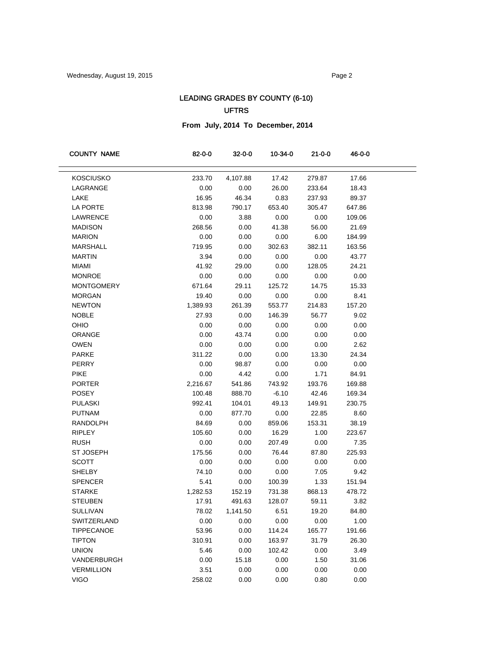## LEADING GRADES BY COUNTY (6-10) UFTRS

**From July, 2014 To December, 2014**

| <b>COUNTY NAME</b> | 82-0-0   | $32 - 0 - 0$ | 10-34-0 | $21 - 0 - 0$ | 46-0-0 |
|--------------------|----------|--------------|---------|--------------|--------|
| <b>KOSCIUSKO</b>   | 233.70   | 4,107.88     | 17.42   | 279.87       | 17.66  |
| LAGRANGE           | 0.00     | 0.00         | 26.00   | 233.64       | 18.43  |
| LAKE               | 16.95    | 46.34        | 0.83    | 237.93       | 89.37  |
| LA PORTE           | 813.98   | 790.17       | 653.40  | 305.47       | 647.86 |
| LAWRENCE           | 0.00     | 3.88         | 0.00    | 0.00         | 109.06 |
| <b>MADISON</b>     | 268.56   | 0.00         | 41.38   | 56.00        | 21.69  |
| <b>MARION</b>      | 0.00     | 0.00         | 0.00    | 6.00         | 184.99 |
| MARSHALL           | 719.95   | 0.00         | 302.63  | 382.11       | 163.56 |
| <b>MARTIN</b>      | 3.94     | 0.00         | 0.00    | 0.00         | 43.77  |
| <b>MIAMI</b>       | 41.92    | 29.00        | 0.00    | 128.05       | 24.21  |
| <b>MONROE</b>      | 0.00     | 0.00         | 0.00    | 0.00         | 0.00   |
| <b>MONTGOMERY</b>  | 671.64   | 29.11        | 125.72  | 14.75        | 15.33  |
| <b>MORGAN</b>      | 19.40    | 0.00         | 0.00    | 0.00         | 8.41   |
| <b>NEWTON</b>      | 1,389.93 | 261.39       | 553.77  | 214.83       | 157.20 |
| <b>NOBLE</b>       | 27.93    | 0.00         | 146.39  | 56.77        | 9.02   |
| OHIO               | 0.00     | 0.00         | 0.00    | 0.00         | 0.00   |
| <b>ORANGE</b>      | 0.00     | 43.74        | 0.00    | 0.00         | 0.00   |
| <b>OWEN</b>        | 0.00     | 0.00         | 0.00    | 0.00         | 2.62   |
| <b>PARKE</b>       | 311.22   | 0.00         | 0.00    | 13.30        | 24.34  |
| PERRY              | 0.00     | 98.87        | 0.00    | 0.00         | 0.00   |
| <b>PIKE</b>        | 0.00     | 4.42         | 0.00    | 1.71         | 84.91  |
| <b>PORTER</b>      | 2,216.67 | 541.86       | 743.92  | 193.76       | 169.88 |
| <b>POSEY</b>       | 100.48   | 888.70       | $-6.10$ | 42.46        | 169.34 |
| <b>PULASKI</b>     | 992.41   | 104.01       | 49.13   | 149.91       | 230.75 |
| <b>PUTNAM</b>      | 0.00     | 877.70       | 0.00    | 22.85        | 8.60   |
| RANDOLPH           | 84.69    | 0.00         | 859.06  | 153.31       | 38.19  |
| <b>RIPLEY</b>      | 105.60   | 0.00         | 16.29   | 1.00         | 223.67 |
| <b>RUSH</b>        | 0.00     | 0.00         | 207.49  | 0.00         | 7.35   |
| <b>ST JOSEPH</b>   | 175.56   | 0.00         | 76.44   | 87.80        | 225.93 |
| <b>SCOTT</b>       | 0.00     | 0.00         | 0.00    | 0.00         | 0.00   |
| <b>SHELBY</b>      | 74.10    | 0.00         | 0.00    | 7.05         | 9.42   |
| <b>SPENCER</b>     | 5.41     | 0.00         | 100.39  | 1.33         | 151.94 |
| <b>STARKE</b>      | 1,282.53 | 152.19       | 731.38  | 868.13       | 478.72 |
| <b>STEUBEN</b>     | 17.91    | 491.63       | 128.07  | 59.11        | 3.82   |
| <b>SULLIVAN</b>    | 78.02    | 1,141.50     | 6.51    | 19.20        | 84.80  |
| SWITZERLAND        | 0.00     | 0.00         | 0.00    | 0.00         | 1.00   |
| <b>TIPPECANOE</b>  | 53.96    | 0.00         | 114.24  | 165.77       | 191.66 |
| <b>TIPTON</b>      | 310.91   | 0.00         | 163.97  | 31.79        | 26.30  |
| <b>UNION</b>       | 5.46     | 0.00         | 102.42  | 0.00         | 3.49   |
| VANDERBURGH        | 0.00     | 15.18        | 0.00    | 1.50         | 31.06  |
| <b>VERMILLION</b>  | 3.51     | 0.00         | 0.00    | 0.00         | 0.00   |
| <b>VIGO</b>        | 258.02   | 0.00         | 0.00    | 0.80         | 0.00   |